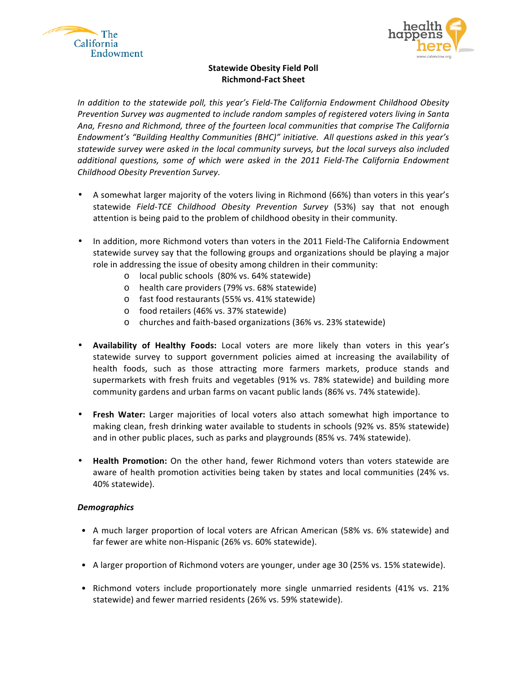



## **Statewide Obesity Field Poll Richmond-Fact Sheet**

In addition to the statewide poll, this year's Field-The California Endowment Childhood Obesity Prevention Survey was augmented to include random samples of registered voters living in Santa Ana, Fresno and Richmond, three of the fourteen local communities that comprise The California Endowment's "Building Healthy Communities (BHC)" initiative. All questions asked in this year's statewide survey were asked in the local community surveys, but the local surveys also included additional questions, some of which were asked in the 2011 Field-The California Endowment *Childhood!Obesity!Prevention!Survey.*

- A somewhat larger majority of the voters living in Richmond (66%) than voters in this year's statewide Field-TCE Childhood Obesity Prevention Survey (53%) say that not enough attention is being paid to the problem of childhood obesity in their community.
- In addition, more Richmond voters than voters in the 2011 Field-The California Endowment statewide survey say that the following groups and organizations should be playing a major role in addressing the issue of obesity among children in their community:
	- o local public schools (80% vs. 64% statewide)
	- o health care providers (79% vs. 68% statewide)
	- o fast food restaurants (55% vs. 41% statewide)
	- o food retailers (46% vs. 37% statewide)
	- o churches and faith-based organizations (36% vs. 23% statewide)
- **Availability of Healthy Foods:** Local voters are more likely than voters in this year's statewide survey to support government policies aimed at increasing the availability of health foods, such as those attracting more farmers markets, produce stands and supermarkets with fresh fruits and vegetables (91% vs. 78% statewide) and building more community gardens and urban farms on vacant public lands (86% vs. 74% statewide).
- Fresh Water: Larger majorities of local voters also attach somewhat high importance to making clean, fresh drinking water available to students in schools (92% vs. 85% statewide) and in other public places, such as parks and playgrounds (85% vs. 74% statewide).
- **Health Promotion:** On the other hand, fewer Richmond voters than voters statewide are aware of health promotion activities being taken by states and local communities (24% vs. 40% statewide).

## *Demographics*

- A much larger proportion of local voters are African American (58% vs. 6% statewide) and far fewer are white non-Hispanic (26% vs. 60% statewide).
- A larger proportion of Richmond voters are younger, under age 30 (25% vs. 15% statewide).
- Richmond voters include proportionately more single unmarried residents (41% vs. 21%) statewide) and fewer married residents (26% vs. 59% statewide).